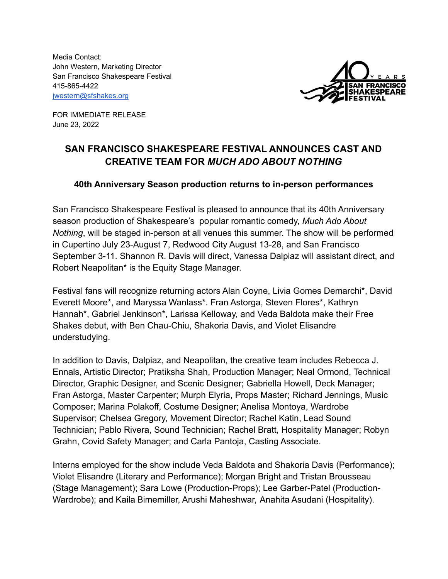Media Contact: John Western, Marketing Director San Francisco Shakespeare Festival 415-865-4422 [jwestern@sfshakes.org](mailto:jwestern@sfshakes.org)



FOR IMMEDIATE RELEASE June 23, 2022

# **SAN FRANCISCO SHAKESPEARE FESTIVAL ANNOUNCES CAST AND CREATIVE TEAM FOR** *MUCH ADO ABOUT NOTHING*

### **40th Anniversary Season production returns to in-person performances**

San Francisco Shakespeare Festival is pleased to announce that its 40th Anniversary season production of Shakespeare's popular romantic comedy, *Much Ado About Nothing*, will be staged in-person at all venues this summer. The show will be performed in Cupertino July 23-August 7, Redwood City August 13-28, and San Francisco September 3-11. Shannon R. Davis will direct, Vanessa Dalpiaz will assistant direct, and Robert Neapolitan\* is the Equity Stage Manager.

Festival fans will recognize returning actors Alan Coyne, Livia Gomes Demarchi\*, David Everett Moore\*, and Maryssa Wanlass\*. Fran Astorga, Steven Flores\*, Kathryn Hannah\*, Gabriel Jenkinson\*, Larissa Kelloway, and Veda Baldota make their Free Shakes debut, with Ben Chau-Chiu, Shakoria Davis, and Violet Elisandre understudying.

In addition to Davis, Dalpiaz, and Neapolitan, the creative team includes Rebecca J. Ennals, Artistic Director; Pratiksha Shah, Production Manager; Neal Ormond, Technical Director, Graphic Designer, and Scenic Designer; Gabriella Howell, Deck Manager; Fran Astorga, Master Carpenter; Murph Elyria, Props Master; Richard Jennings, Music Composer; Marina Polakoff, Costume Designer; Anelisa Montoya, Wardrobe Supervisor; Chelsea Gregory, Movement Director; Rachel Katin, Lead Sound Technician; Pablo Rivera, Sound Technician; Rachel Bratt, Hospitality Manager; Robyn Grahn, Covid Safety Manager; and Carla Pantoja, Casting Associate.

Interns employed for the show include Veda Baldota and Shakoria Davis (Performance); Violet Elisandre (Literary and Performance); Morgan Bright and Tristan Brousseau (Stage Management); Sara Lowe (Production-Props); Lee Garber-Patel (Production-Wardrobe); and Kaila Bimemiller, Arushi Maheshwar, Anahita Asudani (Hospitality).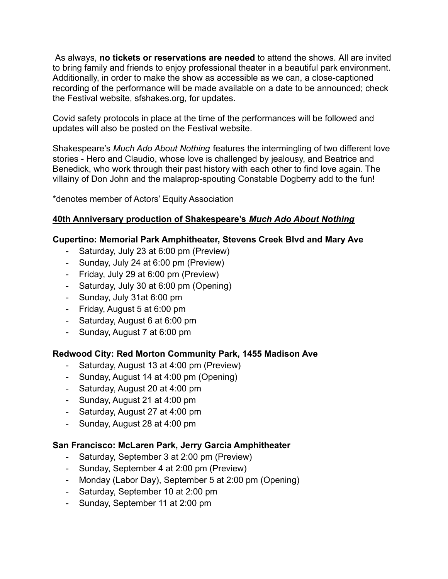As always, **no tickets or reservations are needed** to attend the shows. All are invited to bring family and friends to enjoy professional theater in a beautiful park environment. Additionally, in order to make the show as accessible as we can, a close-captioned recording of the performance will be made available on a date to be announced; check the Festival website, sfshakes.org, for updates.

Covid safety protocols in place at the time of the performances will be followed and updates will also be posted on the Festival website.

Shakespeare's *Much Ado About Nothing* features the intermingling of two different love stories - Hero and Claudio, whose love is challenged by jealousy, and Beatrice and Benedick, who work through their past history with each other to find love again. The villainy of Don John and the malaprop-spouting Constable Dogberry add to the fun!

\*denotes member of Actors' Equity Association

# **40th Anniversary production of Shakespeare's** *Much Ado About Nothing*

### **Cupertino: Memorial Park Amphitheater, Stevens Creek Blvd and Mary Ave**

- Saturday, July 23 at 6:00 pm (Preview)
- Sunday, July 24 at 6:00 pm (Preview)
- Friday, July 29 at 6:00 pm (Preview)
- Saturday, July 30 at 6:00 pm (Opening)
- Sunday, July 31at 6:00 pm
- Friday, August 5 at 6:00 pm
- Saturday, August 6 at 6:00 pm
- Sunday, August 7 at 6:00 pm

# **Redwood City: Red Morton Community Park, 1455 Madison Ave**

- Saturday, August 13 at 4:00 pm (Preview)
- Sunday, August 14 at 4:00 pm (Opening)
- Saturday, August 20 at 4:00 pm
- Sunday, August 21 at 4:00 pm
- Saturday, August 27 at 4:00 pm
- Sunday, August 28 at 4:00 pm

# **San Francisco: McLaren Park, Jerry Garcia Amphitheater**

- Saturday, September 3 at 2:00 pm (Preview)
- Sunday, September 4 at 2:00 pm (Preview)
- Monday (Labor Day), September 5 at 2:00 pm (Opening)
- Saturday, September 10 at 2:00 pm
- Sunday, September 11 at 2:00 pm